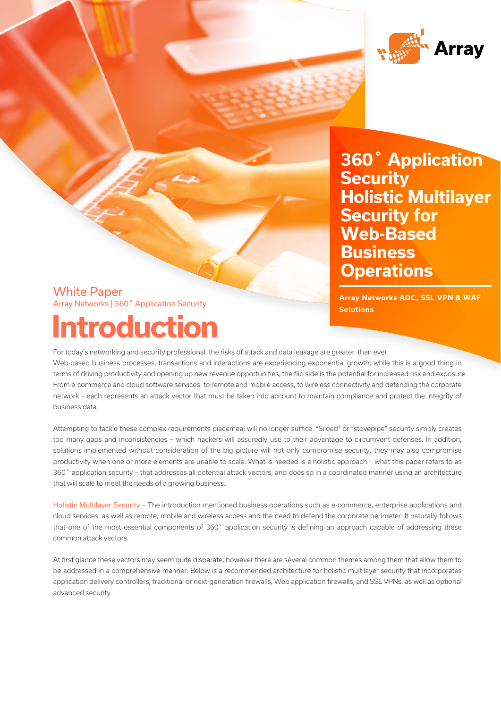

**Accurity**<br>Holietie Multilover **Security for**  $$ **Functions 360˚ Application Security Holistic Multilayer Business Operations**

# White Paper **Introduction** Array Networks | 360˚ Application Security

**A**<br>The Series ADC, SSL VPN & WAF **Solutions**

For today's networking and security professional, the risks of attack and data leakage are greater than ever.

Web-based business processes, transactions and interactions are experiencing exponential growth; while this is a good thing in terms of driving productivity and opening up new revenue opportunities, the flip side is the potential for increased risk and exposure. From e-commerce and cloud software services, to remote and mobile access, to wireless connectivity and defending the corporate network – each represents an attack vector that must be taken into account to maintain compliance and protect the integrity of business data.

Attempting to tackle these complex requirements piecemeal will no longer suffice. "Siloed" or "stovepipe" security simply creates too many gaps and inconsistencies – which hackers will assuredly use to their advantage to circumvent defenses. In addition, solutions implemented without consideration of the big picture will not only compromise security, they may also compromise productivity when one or more elements are unable to scale. What is needed is a holistic approach – what this paper refers to as 360˚ application security – that addresses all potential attack vectors, and does so in a coordinated manner using an architecture that will scale to meet the needs of a growing business.

Holistic Multilayer Security – The introduction mentioned business operations such as e-commerce, enterprise applications and cloud services, as well as remote, mobile and wireless access and the need to defend the corporate perimeter. It naturally follows that one of the most essential components of 360˚ application security is defining an approach capable of addressing these common attack vectors.

At first glance these vectors may seem quite disparate; however there are several common themes among them that allow them to be addressed in a comprehensive manner. Below is a recommended architecture for holistic multilayer security that incorporates application delivery controllers, traditional or next-generation firewalls, Web application firewalls, and SSL VPNs, as well as optional advanced security.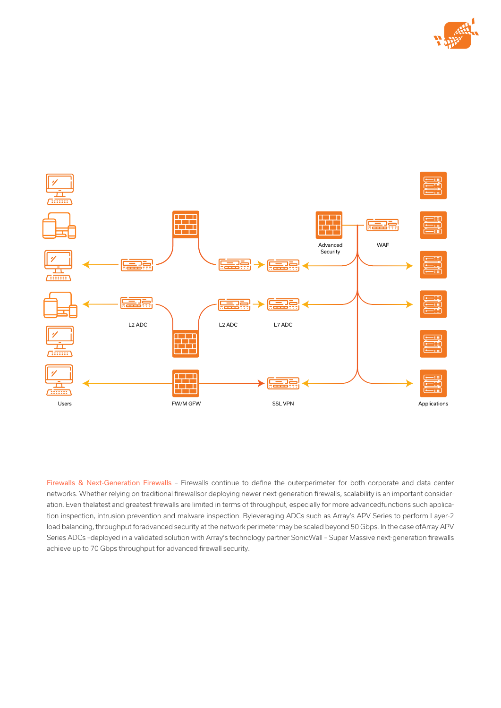



Firewalls & Next-Generation Firewalls – Firewalls continue to define the outerperimeter for both corporate and data center networks. Whether relying on traditional firewallsor deploying newer next-generation firewalls, scalability is an important consideration. Even thelatest and greatest firewalls are limited in terms of throughput, especially for more advancedfunctions such application inspection, intrusion prevention and malware inspection. Byleveraging ADCs such as Array's APV Series to perform Layer-2 load balancing, throughput foradvanced security at the network perimeter may be scaled beyond 50 Gbps. In the case ofArray APV Series ADCs –deployed in a validated solution with Array's technology partner SonicWall – Super Massive next-generation firewalls achieve up to 70 Gbps throughput for advanced firewall security.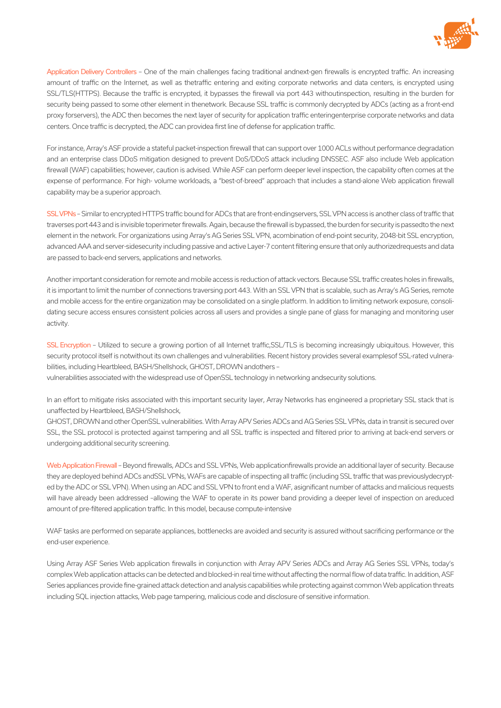

Application Delivery Controllers – One of the main challenges facing traditional andnext-gen firewalls is encrypted traffic. An increasing amount of traffic on the Internet, as well as thetraffic entering and exiting corporate networks and data centers, is encrypted using SSL/TLS(HTTPS). Because the traffic is encrypted, it bypasses the firewall via port 443 withoutinspection, resulting in the burden for security being passed to some other element in thenetwork. Because SSL traffic is commonly decrypted by ADCs (acting as a front-end proxy forservers), the ADC then becomes the next layer of security for application traffic enteringenterprise corporate networks and data centers. Once traffic is decrypted, the ADC can providea first line of defense for application traffic.

For instance, Array's ASF provide a stateful packet-inspection firewall that can support over 1000 ACLs without performance degradation and an enterprise class DDoS mitigation designed to prevent DoS/DDoS attack including DNSSEC. ASF also include Web application firewall (WAF) capabilities; however, caution is advised. While ASF can perform deeper level inspection, the capability often comes at the expense of performance. For high- volume workloads, a "best-of-breed" approach that includes a stand-alone Web application firewall capability may be a superior approach.

SSL VPNs – Similar to encrypted HTTPS traffic bound for ADCs that are front-endingservers, SSL VPN access is another class of traffic that traverses port 443 and is invisible toperimeter firewalls. Again, because the firewall is bypassed, the burden for security is passedto the next element in the network. For organizations using Array's AG Series SSL VPN, acombination of end-point security, 2048-bit SSL encryption, advanced AAA and server-sidesecurity including passive and active Layer-7 content filtering ensure that only authorizedrequests and data are passed to back-end servers, applications and networks.

Another important consideration for remote and mobile access is reduction of attack vectors. Because SSL traffic creates holes in firewalls, it is important to limit the number of connections traversing port 443. With an SSL VPN that is scalable, such as Array's AG Series, remote and mobile access for the entire organization may be consolidated on a single platform. In addition to limiting network exposure, consolidating secure access ensures consistent policies across all users and provides a single pane of glass for managing and monitoring user activity.

SSL Encryption - Utilized to secure a growing portion of all Internet traffic, SSL/TLS is becoming increasingly ubiquitous. However, this security protocol itself is notwithout its own challenges and vulnerabilities. Recent history provides several examplesof SSL-rated vulnerabilities, including Heartbleed, BASH/Shellshock, GHOST, DROWN andothers –

vulnerabilities associated with the widespread use of OpenSSL technology in networking andsecurity solutions.

In an effort to mitigate risks associated with this important security layer, Array Networks has engineered a proprietary SSL stack that is unaffected by Heartbleed, BASH/Shellshock,

GHOST, DROWN and other OpenSSL vulnerabilities. With Array APV Series ADCs and AG Series SSL VPNs, data in transit is secured over SSL, the SSL protocol is protected against tampering and all SSL traffic is inspected and filtered prior to arriving at back-end servers or undergoing additional security screening.

Web Application Firewall - Beyond firewalls, ADCs and SSL VPNs, Web applicationfirewalls provide an additional layer of security. Because they are deployed behind ADCs andSSL VPNs, WAFs are capable of inspecting all traffic (including SSL traffic that was previouslydecrypted by the ADC or SSL VPN). When using an ADC and SSL VPN to front end a WAF, asignificant number of attacks and malicious requests will have already been addressed –allowing the WAF to operate in its power band providing a deeper level of inspection on areduced amount of pre-filtered application traffic. In this model, because compute-intensive

WAF tasks are performed on separate appliances, bottlenecks are avoided and security is assured without sacrificing performance or the end-user experience.

Using Array ASF Series Web application firewalls in conjunction with Array APV Series ADCs and Array AG Series SSL VPNs, today's complex Web application attacks can be detected and blocked-in real time without affecting the normal flow of data traffic. In addition, ASF Series appliances provide fine-grained attack detection and analysis capabilities while protecting against common Web application threats including SQL injection attacks, Web page tampering, malicious code and disclosure of sensitive information.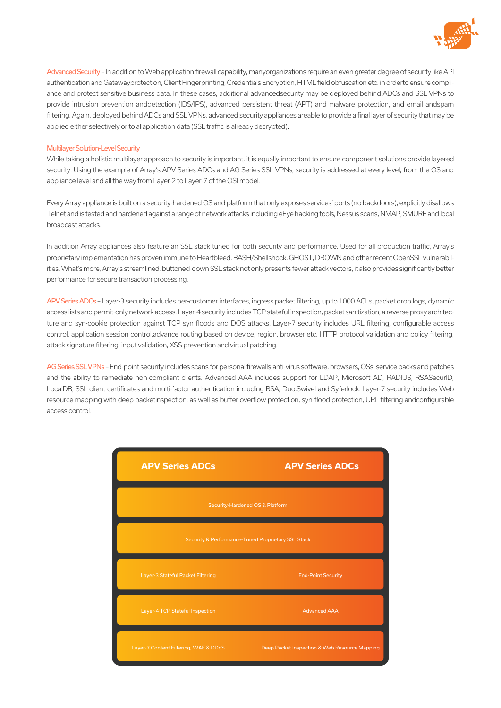

Advanced Security - In addition to Web application firewall capability, manyorganizations require an even greater degree of security like API authentication and Gatewayprotection, Client Fingerprinting, Credentials Encryption, HTML field obfuscation etc. in orderto ensure compliance and protect sensitive business data. In these cases, additional advancedsecurity may be deployed behind ADCs and SSL VPNs to provide intrusion prevention anddetection (IDS/IPS), advanced persistent threat (APT) and malware protection, and email andspam filtering. Again, deployed behind ADCs and SSL VPNs, advanced security appliances areable to provide a final layer of security that may be applied either selectively or to allapplication data (SSL traffic is already decrypted).

### Multilayer Solution-Level Security

While taking a holistic multilayer approach to security is important, it is equally important to ensure component solutions provide layered security. Using the example of Array's APV Series ADCs and AG Series SSL VPNs, security is addressed at every level, from the OS and appliance level and all the way from Layer-2 to Layer-7 of the OSI model.

Every Array appliance is built on a security-hardened OS and platform that only exposes services' ports (no backdoors), explicitly disallows Telnet and is tested and hardened against a range of network attacks including eEye hacking tools, Nessus scans, NMAP, SMURF and local broadcast attacks.

In addition Array appliances also feature an SSL stack tuned for both security and performance. Used for all production traffic, Array's proprietary implementation has proven immune to Heartbleed, BASH/Shellshock, GHOST, DROWN and other recent OpenSSL vulnerabilities. What's more, Array's streamlined, buttoned-down SSL stack not only presents fewer attack vectors, it also provides significantly better performance for secure transaction processing.

APV Series ADCs – Layer-3 security includes per-customer interfaces, ingress packet filtering, up to 1000 ACLs, packet drop logs, dynamic access lists and permit-only network access. Layer-4 security includes TCP stateful inspection, packet sanitization, a reverse proxy architecture and syn-cookie protection against TCP syn floods and DOS attacks. Layer-7 security includes URL filtering, configurable access control, application session control,advance routing based on device, region, browser etc. HTTP protocol validation and policy filtering, attack signature filtering, input validation, XSS prevention and virtual patching.

AG Series SSL VPNs – End-point security includes scans for personal firewalls,anti-virus software, browsers, OSs, service packs and patches and the ability to remediate non-compliant clients. Advanced AAA includes support for LDAP, Microsoft AD, RADIUS, RSASecurID, LocalDB, SSL client certificates and multi-factor authentication including RSA, Duo,Swivel and Syferlock. Layer-7 security includes Web resource mapping with deep packetinspection, as well as buffer overflow protection, syn-flood protection, URL filtering andconfigurable access control.

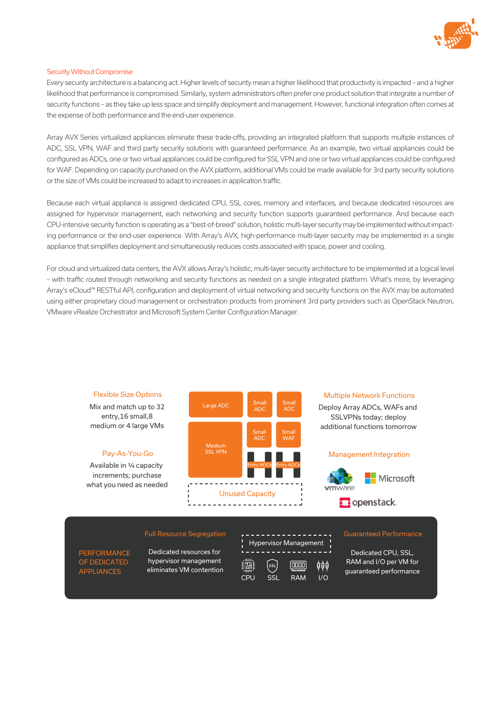

#### Security Without Compromise

Every security architecture is a balancing act. Higher levels of security mean a higher likelihood that productivity is impacted – and a higher likelihood that performance is compromised. Similarly, system administrators often prefer one product solution that integrate a number of security functions – as they take up less space and simplify deployment and management. However, functional integration often comes at the expense of both performance and the end-user experience.

Array AVX Series virtualized appliances eliminate these trade-offs, providing an integrated platform that supports multiple instances of ADC, SSL VPN, WAF and third party security solutions with guaranteed performance. As an example, two virtual appliances could be configured as ADCs, one or two virtual appliances could be configured for SSL VPN and one or two virtual appliances could be configured for WAF. Depending on capacity purchased on the AVX platform, additional VMs could be made available for 3rd party security solutions or the size of VMs could be increased to adapt to increases in application traffic.

Because each virtual appliance is assigned dedicated CPU, SSL cores, memory and interfaces, and because dedicated resources are assigned for hypervisor management, each networking and security function supports guaranteed performance. And because each CPU-intensive security function is operating as a "best-of-breed" solution, holistic multi-layer security may be implemented without impacting performance or the end-user experience. With Array's AVX, high-performance multi-layer security may be implemented in a single appliance that simplifies deployment and simultaneously reduces costs associated with space, power and cooling.

For cloud and virtualized data centers, the AVX allows Array's holistic, multi-layer security architecture to be implemented at a logical level – with traffic routed through networking and security functions as needed on a single integrated platform. What's more, by leveraging Array's eCloud™ RESTful API, configuration and deployment of virtual networking and security functions on the AVX may be automated using either proprietary cloud management or orchestration products from prominent 3rd party providers such as OpenStack Neutron, VMware vRealize Orchestrator and Microsoft System Center Configuration Manager.